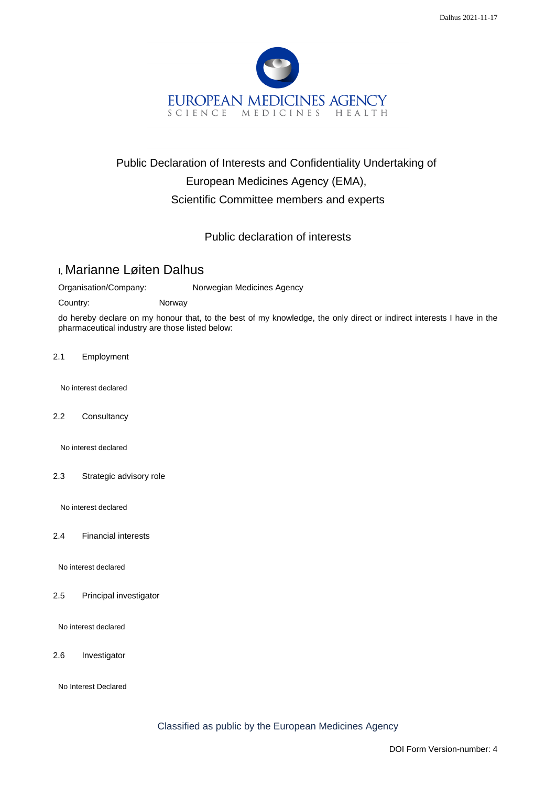

## Public Declaration of Interests and Confidentiality Undertaking of European Medicines Agency (EMA), Scientific Committee members and experts

## Public declaration of interests

## I, Marianne Løiten Dalhus

Organisation/Company: Norwegian Medicines Agency

Country: Norway

do hereby declare on my honour that, to the best of my knowledge, the only direct or indirect interests I have in the pharmaceutical industry are those listed below:

2.1 Employment

No interest declared

2.2 Consultancy

No interest declared

2.3 Strategic advisory role

No interest declared

2.4 Financial interests

No interest declared

2.5 Principal investigator

No interest declared

2.6 Investigator

No Interest Declared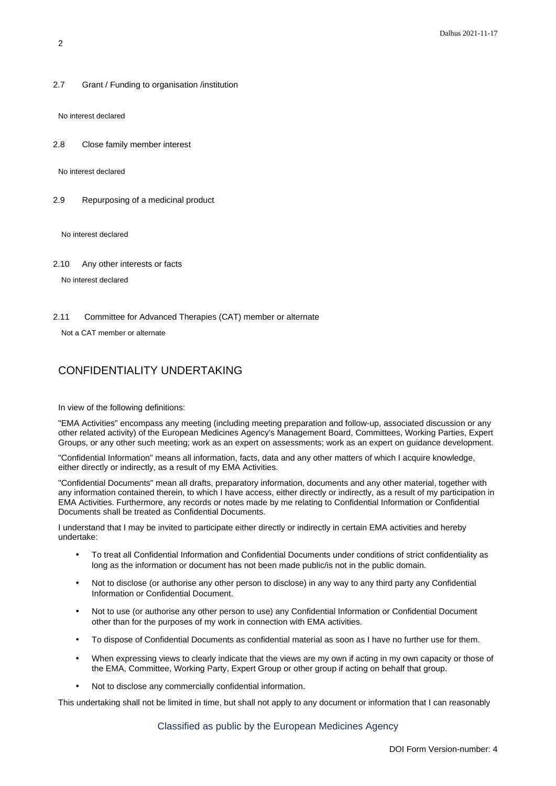2.7 Grant / Funding to organisation /institution

No interest declared

2.8 Close family member interest

No interest declared

2.9 Repurposing of a medicinal product

No interest declared

2.10 Any other interests or facts

No interest declared

2.11 Committee for Advanced Therapies (CAT) member or alternate

Not a CAT member or alternate

## CONFIDENTIALITY UNDERTAKING

In view of the following definitions:

"EMA Activities" encompass any meeting (including meeting preparation and follow-up, associated discussion or any other related activity) of the European Medicines Agency's Management Board, Committees, Working Parties, Expert Groups, or any other such meeting; work as an expert on assessments; work as an expert on guidance development.

"Confidential Information" means all information, facts, data and any other matters of which I acquire knowledge, either directly or indirectly, as a result of my EMA Activities.

"Confidential Documents" mean all drafts, preparatory information, documents and any other material, together with any information contained therein, to which I have access, either directly or indirectly, as a result of my participation in EMA Activities. Furthermore, any records or notes made by me relating to Confidential Information or Confidential Documents shall be treated as Confidential Documents.

I understand that I may be invited to participate either directly or indirectly in certain EMA activities and hereby undertake:

- To treat all Confidential Information and Confidential Documents under conditions of strict confidentiality as long as the information or document has not been made public/is not in the public domain.
- Not to disclose (or authorise any other person to disclose) in any way to any third party any Confidential Information or Confidential Document.
- Not to use (or authorise any other person to use) any Confidential Information or Confidential Document other than for the purposes of my work in connection with EMA activities.
- To dispose of Confidential Documents as confidential material as soon as I have no further use for them.
- When expressing views to clearly indicate that the views are my own if acting in my own capacity or those of the EMA, Committee, Working Party, Expert Group or other group if acting on behalf that group.
- Not to disclose any commercially confidential information.

This undertaking shall not be limited in time, but shall not apply to any document or information that I can reasonably

Classified as public by the European Medicines Agency